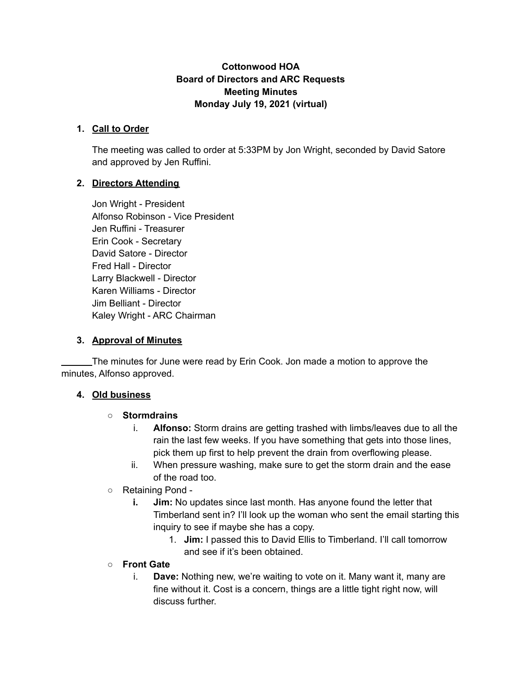### **Cottonwood HOA Board of Directors and ARC Requests Meeting Minutes Monday July 19, 2021 (virtual)**

### **1. Call to Order**

The meeting was called to order at 5:33PM by Jon Wright, seconded by David Satore and approved by Jen Ruffini.

## **2. Directors Attending**

Jon Wright - President Alfonso Robinson - Vice President Jen Ruffini - Treasurer Erin Cook - Secretary David Satore - Director Fred Hall - Director Larry Blackwell - Director Karen Williams - Director Jim Belliant - Director Kaley Wright - ARC Chairman

### **3. Approval of Minutes**

The minutes for June were read by Erin Cook. Jon made a motion to approve the minutes, Alfonso approved.

### **4. Old business**

### ○ **Stormdrains**

- i. **Alfonso:** Storm drains are getting trashed with limbs/leaves due to all the rain the last few weeks. If you have something that gets into those lines, pick them up first to help prevent the drain from overflowing please.
- ii. When pressure washing, make sure to get the storm drain and the ease of the road too.
- Retaining Pond
	- **i. Jim:** No updates since last month. Has anyone found the letter that Timberland sent in? I'll look up the woman who sent the email starting this inquiry to see if maybe she has a copy.
		- 1. **Jim:** I passed this to David Ellis to Timberland. I'll call tomorrow and see if it's been obtained.
- **Front Gate**
	- i. **Dave:** Nothing new, we're waiting to vote on it. Many want it, many are fine without it. Cost is a concern, things are a little tight right now, will discuss further.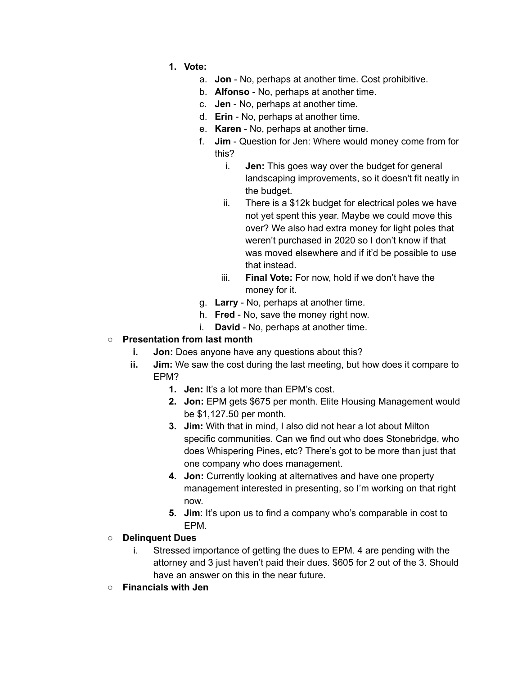- **1. Vote:**
	- a. **Jon** No, perhaps at another time. Cost prohibitive.
	- b. **Alfonso** No, perhaps at another time.
	- c. **Jen** No, perhaps at another time.
	- d. **Erin** No, perhaps at another time.
	- e. **Karen** No, perhaps at another time.
	- f. **Jim** Question for Jen: Where would money come from for this?
		- i. **Jen:** This goes way over the budget for general landscaping improvements, so it doesn't fit neatly in the budget.
		- ii. There is a \$12k budget for electrical poles we have not yet spent this year. Maybe we could move this over? We also had extra money for light poles that weren't purchased in 2020 so I don't know if that was moved elsewhere and if it'd be possible to use that instead.
		- iii. **Final Vote:** For now, hold if we don't have the money for it.
	- g. **Larry** No, perhaps at another time.
	- h. **Fred** No, save the money right now.
	- i. **David** No, perhaps at another time.

### ○ **Presentation from last month**

- **i. Jon:** Does anyone have any questions about this?
- **ii. Jim:** We saw the cost during the last meeting, but how does it compare to EPM?
	- **1. Jen:** It's a lot more than EPM's cost.
	- **2. Jon:** EPM gets \$675 per month. Elite Housing Management would be \$1,127.50 per month.
	- **3. Jim:** With that in mind, I also did not hear a lot about Milton specific communities. Can we find out who does Stonebridge, who does Whispering Pines, etc? There's got to be more than just that one company who does management.
	- **4. Jon:** Currently looking at alternatives and have one property management interested in presenting, so I'm working on that right now.
	- **5. Jim**: It's upon us to find a company who's comparable in cost to EPM.
- **○ Delinquent Dues**
	- i. Stressed importance of getting the dues to EPM. 4 are pending with the attorney and 3 just haven't paid their dues. \$605 for 2 out of the 3. Should have an answer on this in the near future.
- **○ Financials with Jen**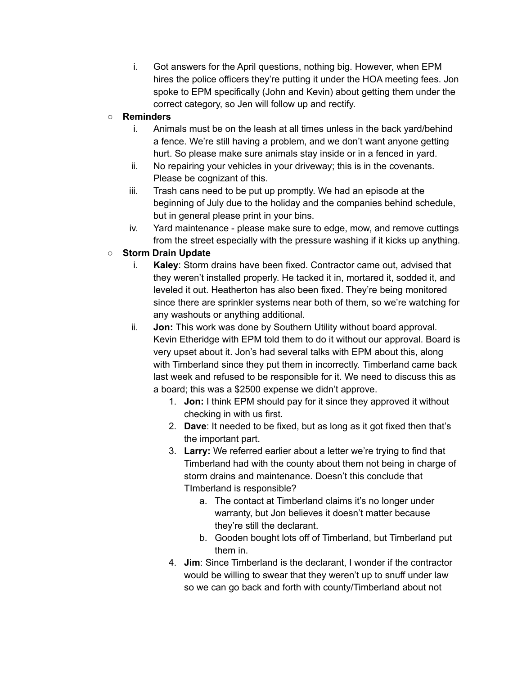i. Got answers for the April questions, nothing big. However, when EPM hires the police officers they're putting it under the HOA meeting fees. Jon spoke to EPM specifically (John and Kevin) about getting them under the correct category, so Jen will follow up and rectify.

## **○ Reminders**

- i. Animals must be on the leash at all times unless in the back yard/behind a fence. We're still having a problem, and we don't want anyone getting hurt. So please make sure animals stay inside or in a fenced in yard.
- ii. No repairing your vehicles in your driveway; this is in the covenants. Please be cognizant of this.
- iii. Trash cans need to be put up promptly. We had an episode at the beginning of July due to the holiday and the companies behind schedule, but in general please print in your bins.
- iv. Yard maintenance please make sure to edge, mow, and remove cuttings from the street especially with the pressure washing if it kicks up anything.

# **○ Storm Drain Update**

- i. **Kaley**: Storm drains have been fixed. Contractor came out, advised that they weren't installed properly. He tacked it in, mortared it, sodded it, and leveled it out. Heatherton has also been fixed. They're being monitored since there are sprinkler systems near both of them, so we're watching for any washouts or anything additional.
- ii. **Jon:** This work was done by Southern Utility without board approval. Kevin Etheridge with EPM told them to do it without our approval. Board is very upset about it. Jon's had several talks with EPM about this, along with Timberland since they put them in incorrectly. Timberland came back last week and refused to be responsible for it. We need to discuss this as a board; this was a \$2500 expense we didn't approve.
	- 1. **Jon:** I think EPM should pay for it since they approved it without checking in with us first.
	- 2. **Dave**: It needed to be fixed, but as long as it got fixed then that's the important part.
	- 3. **Larry:** We referred earlier about a letter we're trying to find that Timberland had with the county about them not being in charge of storm drains and maintenance. Doesn't this conclude that TImberland is responsible?
		- a. The contact at Timberland claims it's no longer under warranty, but Jon believes it doesn't matter because they're still the declarant.
		- b. Gooden bought lots off of Timberland, but Timberland put them in.
	- 4. **Jim**: Since Timberland is the declarant, I wonder if the contractor would be willing to swear that they weren't up to snuff under law so we can go back and forth with county/Timberland about not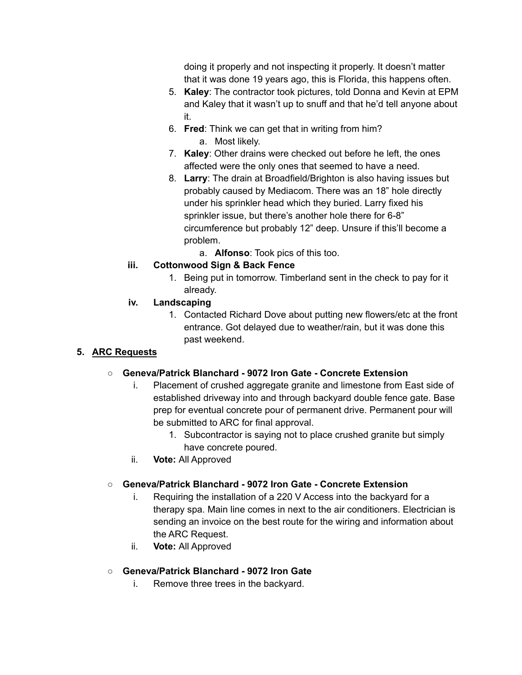doing it properly and not inspecting it properly. It doesn't matter that it was done 19 years ago, this is Florida, this happens often.

- 5. **Kaley**: The contractor took pictures, told Donna and Kevin at EPM and Kaley that it wasn't up to snuff and that he'd tell anyone about it.
- 6. **Fred**: Think we can get that in writing from him? a. Most likely.
- 7. **Kaley**: Other drains were checked out before he left, the ones affected were the only ones that seemed to have a need.
- 8. **Larry**: The drain at Broadfield/Brighton is also having issues but probably caused by Mediacom. There was an 18" hole directly under his sprinkler head which they buried. Larry fixed his sprinkler issue, but there's another hole there for 6-8" circumference but probably 12" deep. Unsure if this'll become a problem.
	- a. **Alfonso**: Took pics of this too.

# **iii. Cottonwood Sign & Back Fence**

1. Being put in tomorrow. Timberland sent in the check to pay for it already.

# **iv. Landscaping**

1. Contacted Richard Dove about putting new flowers/etc at the front entrance. Got delayed due to weather/rain, but it was done this past weekend.

# **5. ARC Requests**

# ○ **Geneva/Patrick Blanchard - 9072 Iron Gate - Concrete Extension**

- i. Placement of crushed aggregate granite and limestone from East side of established driveway into and through backyard double fence gate. Base prep for eventual concrete pour of permanent drive. Permanent pour will be submitted to ARC for final approval.
	- 1. Subcontractor is saying not to place crushed granite but simply have concrete poured.
- ii. **Vote:** All Approved

# ○ **Geneva/Patrick Blanchard - 9072 Iron Gate - Concrete Extension**

- i. Requiring the installation of a 220 V Access into the backyard for a therapy spa. Main line comes in next to the air conditioners. Electrician is sending an invoice on the best route for the wiring and information about the ARC Request.
- ii. **Vote:** All Approved
- **Geneva/Patrick Blanchard - 9072 Iron Gate**
	- i. Remove three trees in the backyard.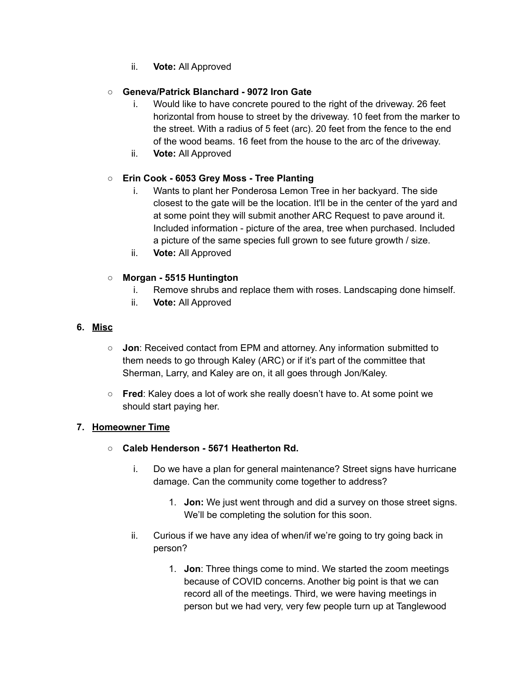ii. **Vote:** All Approved

## ○ **Geneva/Patrick Blanchard - 9072 Iron Gate**

- i. Would like to have concrete poured to the right of the driveway. 26 feet horizontal from house to street by the driveway. 10 feet from the marker to the street. With a radius of 5 feet (arc). 20 feet from the fence to the end of the wood beams. 16 feet from the house to the arc of the driveway.
- ii. **Vote:** All Approved

## ○ **Erin Cook - 6053 Grey Moss - Tree Planting**

- i. Wants to plant her Ponderosa Lemon Tree in her backyard. The side closest to the gate will be the location. It'll be in the center of the yard and at some point they will submit another ARC Request to pave around it. Included information - picture of the area, tree when purchased. Included a picture of the same species full grown to see future growth / size.
- ii. **Vote:** All Approved

### **○ Morgan - 5515 Huntington**

- i. Remove shrubs and replace them with roses. Landscaping done himself.
- ii. **Vote:** All Approved

#### **6. Misc**

- **Jon**: Received contact from EPM and attorney. Any information submitted to them needs to go through Kaley (ARC) or if it's part of the committee that Sherman, Larry, and Kaley are on, it all goes through Jon/Kaley.
- **Fred**: Kaley does a lot of work she really doesn't have to. At some point we should start paying her.

### **7. Homeowner Time**

- **○ Caleb Henderson - 5671 Heatherton Rd.**
	- i. Do we have a plan for general maintenance? Street signs have hurricane damage. Can the community come together to address?
		- 1. **Jon:** We just went through and did a survey on those street signs. We'll be completing the solution for this soon.
	- ii. Curious if we have any idea of when/if we're going to try going back in person?
		- 1. **Jon**: Three things come to mind. We started the zoom meetings because of COVID concerns. Another big point is that we can record all of the meetings. Third, we were having meetings in person but we had very, very few people turn up at Tanglewood